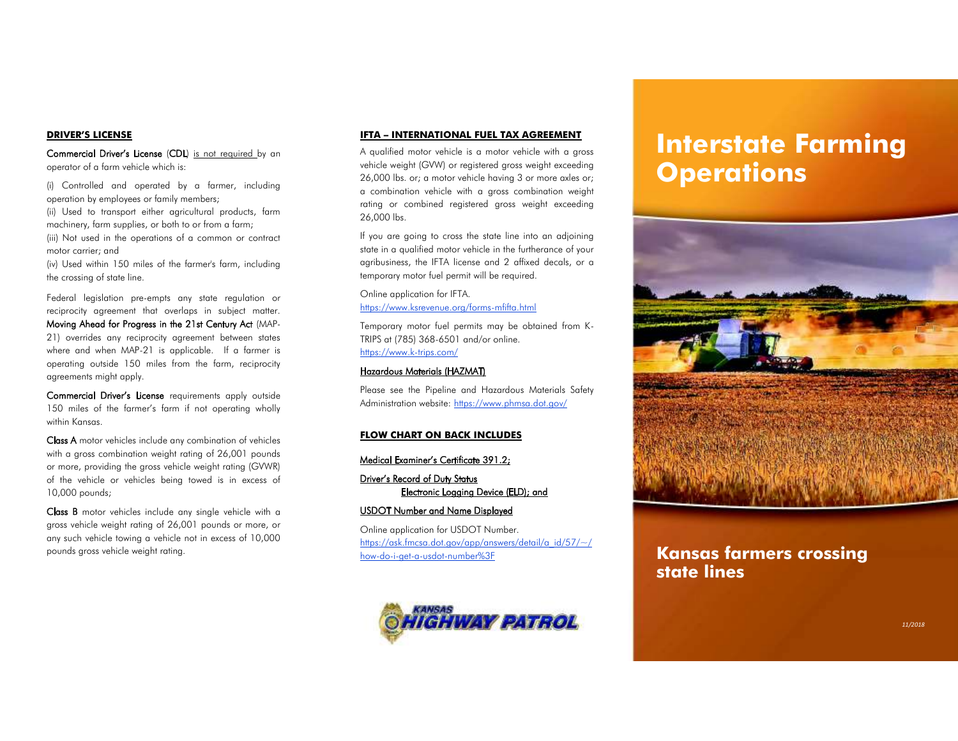### **DRIVER'S LICENSE**

**Commercial Driver's License (CDL**) is not required by an operator of a farm vehicle which is:

(i) Controlled and operated by a farmer, including operation by employees or family members;

(ii) Used to transport either agricultural products, farm machinery, farm supplies, or both to or from a farm;

(iii) Not used in the operations of a common or contract motor carrier; and

(iv) Used within 150 miles of the farmer's farm, including the crossing of state line.

Federal legislation pre-empts any state regulation or reciprocity agreement that overlaps in subject matter. Moving Ahead for Progress in the 21st Century Act (MAP-21) overrides any reciprocity agreement between states where and when MAP-21 is applicable. If a farmer is operating outside 150 miles from the farm, reciprocity agreements might apply.

Commercial Driver's License requirements apply outside 150 miles of the farmer's farm if not operating wholly within Kansas.

Class A motor vehicles include any combination of vehicles with a gross combination weight rating of 26,001 pounds or more, providing the gross vehicle weight rating (GVWR) of the vehicle or vehicles being towed is in excess of 10,000 pounds;

Class B motor vehicles include any single vehicle with a gross vehicle weight rating of 26,001 pounds or more, or any such vehicle towing a vehicle not in excess of 10,000 pounds gross vehicle weight rating.

### **IFTA – INTERNATIONAL FUEL TAX AGREEMENT**

A qualified motor vehicle is a motor vehicle with a gross vehicle weight (GVW) or registered gross weight exceeding 26,000 lbs. or; a motor vehicle having 3 or more axles or; a combination vehicle with a gross combination weight rating or combined registered gross weight exceeding 26,000 lbs.

If you are going to cross the state line into an adjoining state in a qualified motor vehicle in the furtherance of your agribusiness, the IFTA license and 2 affixed decals, or a temporary motor fuel permit will be required.

Online application for IFTA. https://www.ksrevenue.org/forms-mfifta.html

Temporary motor fuel permits may be obtained from K-TRIPS at (785) 368-6501 and/or online. https://www.k-trips.com/

### Hazardous Materials (HAZMAT)

 Please see the Pipeline and Hazardous Materials Safety Administration website: https://www.phmsa.dot.gov/

### **FLOW CHART ON BACK INCLUDES**

### Medical Examiner's Certificate 391.2;

Driver's Record of Duty StatusElectronic Logging Device (ELD); and

### USDOT Number and Name Displayed

Online application for USDOT Number. https://ask.fmcsa.dot.gov/app/answers/detail/a\_id/57/~/how-do-i-get-a-usdot-number%3F



# **Interstate Farming Operations**



### **Kansas farmers crossing state lines**